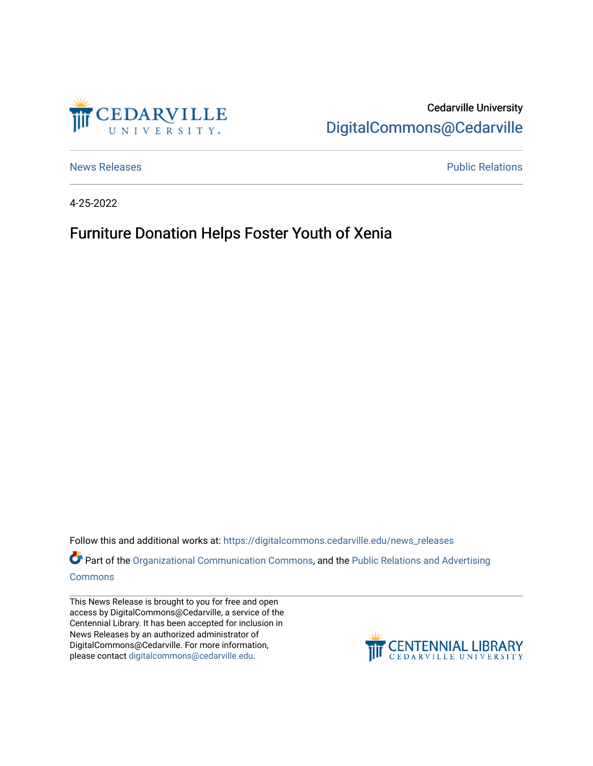

Cedarville University [DigitalCommons@Cedarville](https://digitalcommons.cedarville.edu/) 

[News Releases](https://digitalcommons.cedarville.edu/news_releases) **Public Relations Public Relations** 

4-25-2022

## Furniture Donation Helps Foster Youth of Xenia

Follow this and additional works at: [https://digitalcommons.cedarville.edu/news\\_releases](https://digitalcommons.cedarville.edu/news_releases?utm_source=digitalcommons.cedarville.edu%2Fnews_releases%2F1541&utm_medium=PDF&utm_campaign=PDFCoverPages) 

Part of the [Organizational Communication Commons](http://network.bepress.com/hgg/discipline/335?utm_source=digitalcommons.cedarville.edu%2Fnews_releases%2F1541&utm_medium=PDF&utm_campaign=PDFCoverPages), and the Public Relations and Advertising [Commons](http://network.bepress.com/hgg/discipline/336?utm_source=digitalcommons.cedarville.edu%2Fnews_releases%2F1541&utm_medium=PDF&utm_campaign=PDFCoverPages)

This News Release is brought to you for free and open access by DigitalCommons@Cedarville, a service of the Centennial Library. It has been accepted for inclusion in News Releases by an authorized administrator of DigitalCommons@Cedarville. For more information, please contact [digitalcommons@cedarville.edu](mailto:digitalcommons@cedarville.edu).